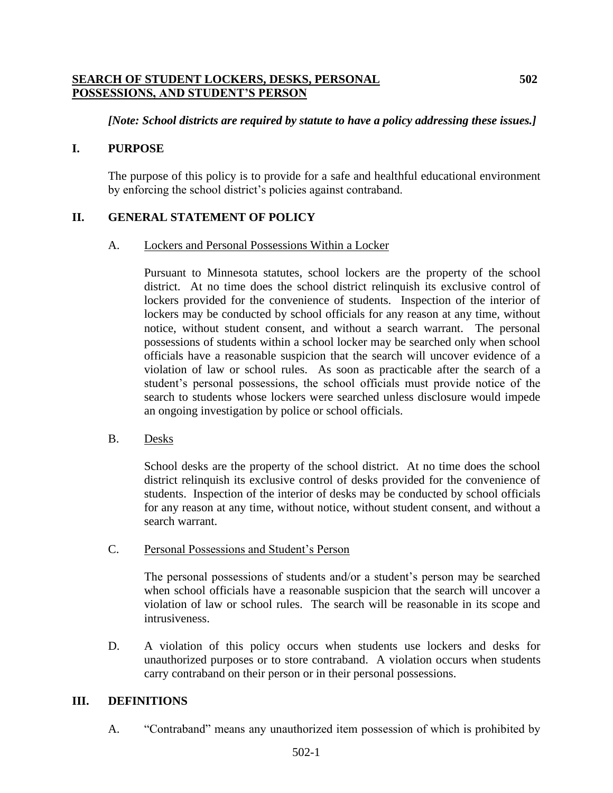## **SEARCH OF STUDENT LOCKERS, DESKS, PERSONAL 502 POSSESSIONS, AND STUDENT'S PERSON**

## *[Note: School districts are required by statute to have a policy addressing these issues.]*

## **I. PURPOSE**

The purpose of this policy is to provide for a safe and healthful educational environment by enforcing the school district's policies against contraband.

# **II. GENERAL STATEMENT OF POLICY**

#### A. Lockers and Personal Possessions Within a Locker

Pursuant to Minnesota statutes, school lockers are the property of the school district. At no time does the school district relinquish its exclusive control of lockers provided for the convenience of students. Inspection of the interior of lockers may be conducted by school officials for any reason at any time, without notice, without student consent, and without a search warrant. The personal possessions of students within a school locker may be searched only when school officials have a reasonable suspicion that the search will uncover evidence of a violation of law or school rules. As soon as practicable after the search of a student's personal possessions, the school officials must provide notice of the search to students whose lockers were searched unless disclosure would impede an ongoing investigation by police or school officials.

B. Desks

School desks are the property of the school district. At no time does the school district relinquish its exclusive control of desks provided for the convenience of students. Inspection of the interior of desks may be conducted by school officials for any reason at any time, without notice, without student consent, and without a search warrant.

C. Personal Possessions and Student's Person

The personal possessions of students and/or a student's person may be searched when school officials have a reasonable suspicion that the search will uncover a violation of law or school rules. The search will be reasonable in its scope and intrusiveness.

D. A violation of this policy occurs when students use lockers and desks for unauthorized purposes or to store contraband. A violation occurs when students carry contraband on their person or in their personal possessions.

## **III. DEFINITIONS**

A. "Contraband" means any unauthorized item possession of which is prohibited by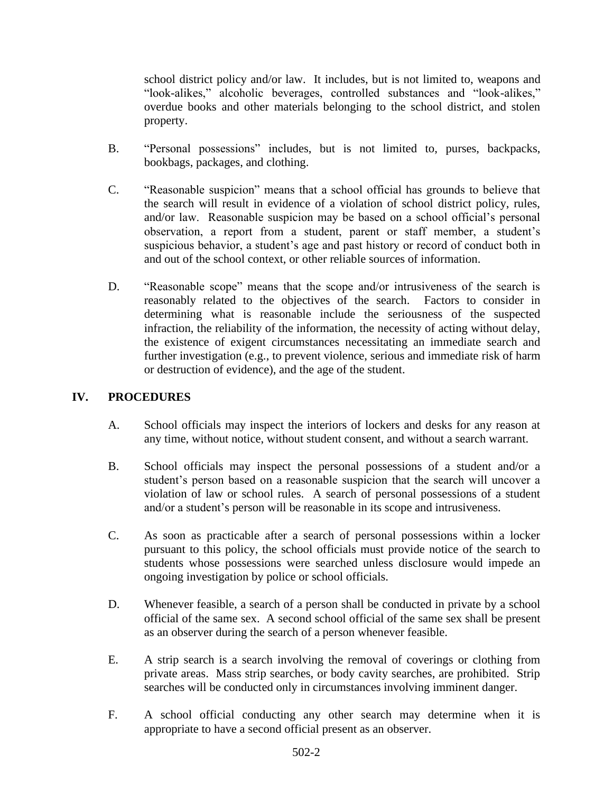school district policy and/or law. It includes, but is not limited to, weapons and "look-alikes," alcoholic beverages, controlled substances and "look-alikes," overdue books and other materials belonging to the school district, and stolen property.

- B. "Personal possessions" includes, but is not limited to, purses, backpacks, bookbags, packages, and clothing.
- C. "Reasonable suspicion" means that a school official has grounds to believe that the search will result in evidence of a violation of school district policy, rules, and/or law. Reasonable suspicion may be based on a school official's personal observation, a report from a student, parent or staff member, a student's suspicious behavior, a student's age and past history or record of conduct both in and out of the school context, or other reliable sources of information.
- D. "Reasonable scope" means that the scope and/or intrusiveness of the search is reasonably related to the objectives of the search. Factors to consider in determining what is reasonable include the seriousness of the suspected infraction, the reliability of the information, the necessity of acting without delay, the existence of exigent circumstances necessitating an immediate search and further investigation (e.g., to prevent violence, serious and immediate risk of harm or destruction of evidence), and the age of the student.

# **IV. PROCEDURES**

- A. School officials may inspect the interiors of lockers and desks for any reason at any time, without notice, without student consent, and without a search warrant.
- B. School officials may inspect the personal possessions of a student and/or a student's person based on a reasonable suspicion that the search will uncover a violation of law or school rules. A search of personal possessions of a student and/or a student's person will be reasonable in its scope and intrusiveness.
- C. As soon as practicable after a search of personal possessions within a locker pursuant to this policy, the school officials must provide notice of the search to students whose possessions were searched unless disclosure would impede an ongoing investigation by police or school officials.
- D. Whenever feasible, a search of a person shall be conducted in private by a school official of the same sex. A second school official of the same sex shall be present as an observer during the search of a person whenever feasible.
- E. A strip search is a search involving the removal of coverings or clothing from private areas. Mass strip searches, or body cavity searches, are prohibited. Strip searches will be conducted only in circumstances involving imminent danger.
- F. A school official conducting any other search may determine when it is appropriate to have a second official present as an observer.